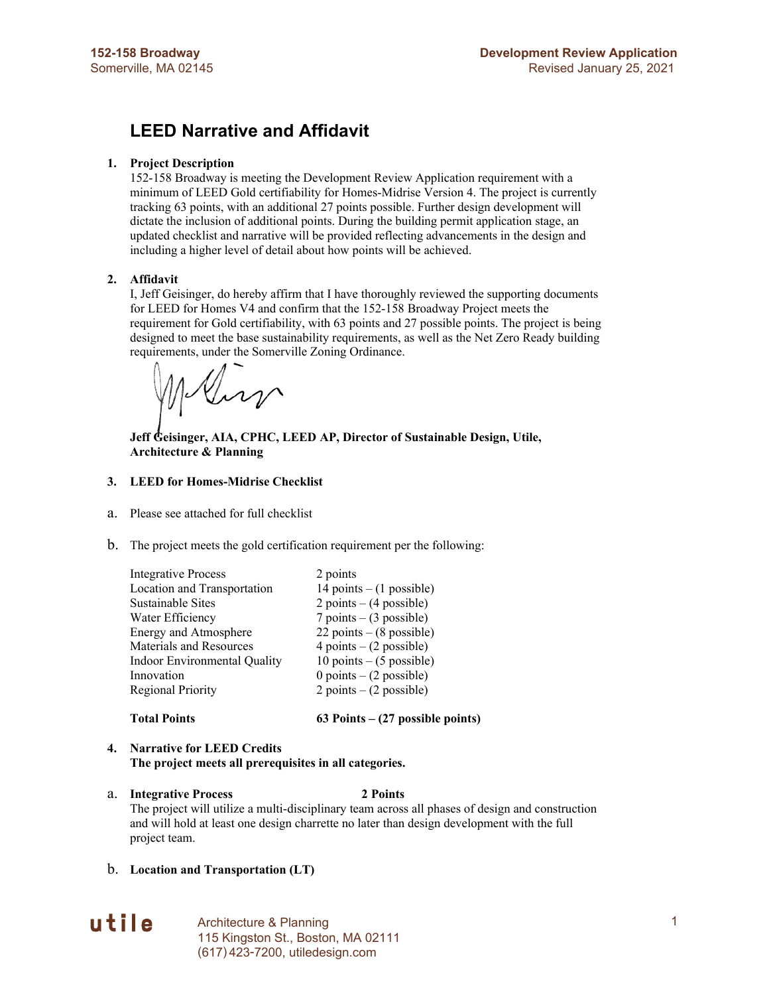## **LEED Narrative and Affidavit**

#### **1. Project Description**

152-158 Broadway is meeting the Development Review Application requirement with a minimum of LEED Gold certifiability for Homes-Midrise Version 4. The project is currently tracking 63 points, with an additional 27 points possible. Further design development will dictate the inclusion of additional points. During the building permit application stage, an updated checklist and narrative will be provided reflecting advancements in the design and including a higher level of detail about how points will be achieved.

#### **2. Affidavit**

I, Jeff Geisinger, do hereby affirm that I have thoroughly reviewed the supporting documents for LEED for Homes V4 and confirm that the 152-158 Broadway Project meets the requirement for Gold certifiability, with 63 points and 27 possible points. The project is being designed to meet the base sustainability requirements, as well as the Net Zero Ready building requirements, under the Somerville Zoning Ordinance.

Inp

**Jeff Geisinger, AIA, CPHC, LEED AP, Director of Sustainable Design, Utile, Architecture & Planning**

#### **3. LEED for Homes-Midrise Checklist**

- a. Please see attached for full checklist
- b. The project meets the gold certification requirement per the following:

| <b>Integrative Process</b>   | 2 points                    |
|------------------------------|-----------------------------|
| Location and Transportation  | 14 points $- (1$ possible)  |
| Sustainable Sites            | 2 points $-$ (4 possible)   |
| Water Efficiency             | $7$ points $- (3$ possible) |
| Energy and Atmosphere        | 22 points $-$ (8 possible)  |
| Materials and Resources      | 4 points $-$ (2 possible)   |
| Indoor Environmental Quality | 10 points $-$ (5 possible)  |
| Innovation                   | 0 points $-$ (2 possible)   |
| Regional Priority            | $2 points - (2 possible)$   |
|                              |                             |
| m <b>. . n .</b>             | $\sim$ $\sim$ $\sim$        |

**Total Points 63 Points – (27 possible points)**

#### **4. Narrative for LEED Credits**

**The project meets all prerequisites in all categories.**

a. **Integrative Process 2 Points**

The project will utilize a multi-disciplinary team across all phases of design and construction and will hold at least one design charrette no later than design development with the full project team.

b. **Location and Transportation (LT)**



Architecture & Planning 1 115 Kingston St., Boston, MA 02111 (617) 423-7200, utiledesign.com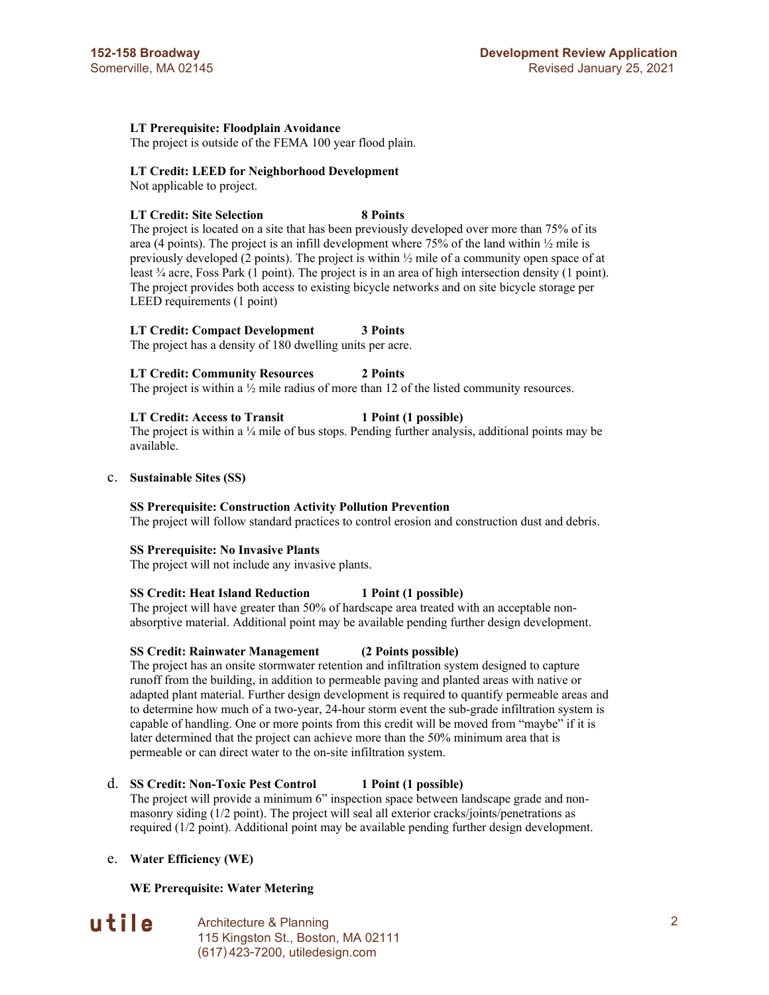#### **LT Prerequisite: Floodplain Avoidance**

The project is outside of the FEMA 100 year flood plain.

#### **LT Credit: LEED for Neighborhood Development**

Not applicable to project.

#### **LT Credit: Site Selection 8 Points**

The project is located on a site that has been previously developed over more than 75% of its area (4 points). The project is an infill development where  $75\%$  of the land within  $\frac{1}{2}$  mile is previously developed (2 points). The project is within  $\frac{1}{2}$  mile of a community open space of at least ¾ acre, Foss Park (1 point). The project is in an area of high intersection density (1 point). The project provides both access to existing bicycle networks and on site bicycle storage per LEED requirements (1 point)

#### **LT Credit: Compact Development 3 Points**

The project has a density of 180 dwelling units per acre.

#### **LT Credit: Community Resources 2 Points**

The project is within a  $\frac{1}{2}$  mile radius of more than 12 of the listed community resources.

#### **LT Credit: Access to Transit 1 Point (1 possible)**

The project is within a  $\frac{1}{4}$  mile of bus stops. Pending further analysis, additional points may be available.

#### c. **Sustainable Sites (SS)**

#### **SS Prerequisite: Construction Activity Pollution Prevention**

The project will follow standard practices to control erosion and construction dust and debris.

#### **SS Prerequisite: No Invasive Plants**

The project will not include any invasive plants.

#### **SS Credit: Heat Island Reduction 1 Point (1 possible)**

The project will have greater than 50% of hardscape area treated with an acceptable nonabsorptive material. Additional point may be available pending further design development.

#### **SS Credit: Rainwater Management (2 Points possible)**

The project has an onsite stormwater retention and infiltration system designed to capture runoff from the building, in addition to permeable paving and planted areas with native or adapted plant material. Further design development is required to quantify permeable areas and to determine how much of a two-year, 24-hour storm event the sub-grade infiltration system is capable of handling. One or more points from this credit will be moved from "maybe" if it is later determined that the project can achieve more than the 50% minimum area that is permeable or can direct water to the on-site infiltration system.

#### d. **SS Credit: Non-Toxic Pest Control 1 Point (1 possible)**

The project will provide a minimum 6" inspection space between landscape grade and nonmasonry siding (1/2 point). The project will seal all exterior cracks/joints/penetrations as required (1/2 point). Additional point may be available pending further design development.

#### e. **Water Efficiency (WE)**

#### **WE Prerequisite: Water Metering**

# utile

Architecture & Planning 2 115 Kingston St., Boston, MA 02111 (617) 423-7200, utiledesign.com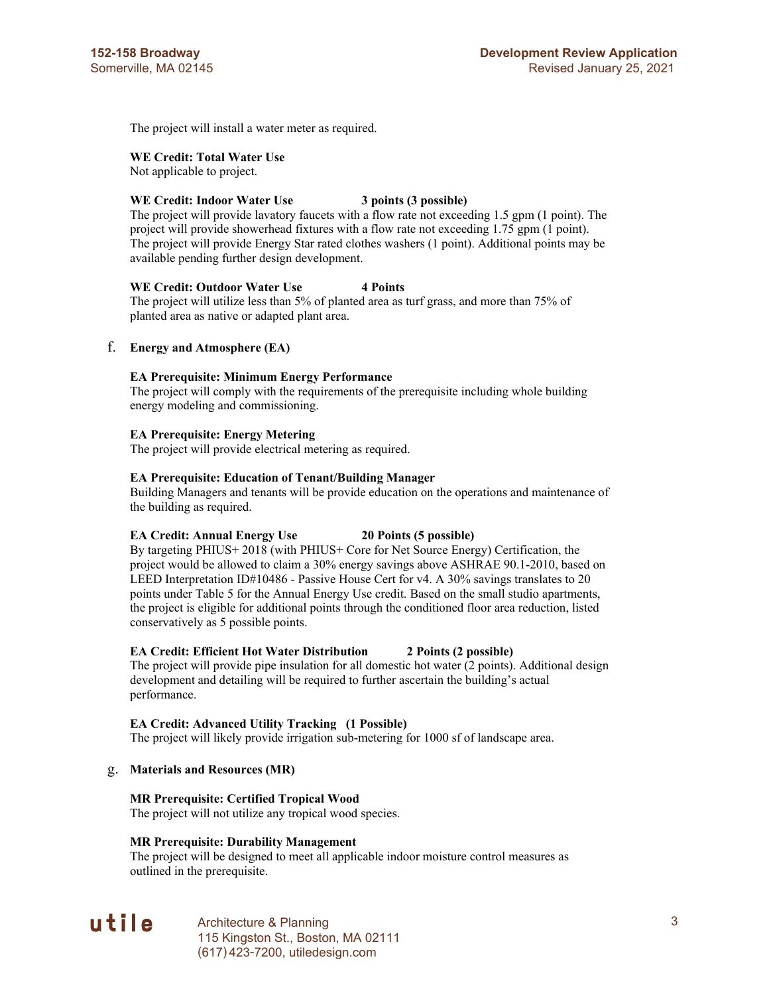The project will install a water meter as required.

#### **WE Credit: Total Water Use**

Not applicable to project.

#### **WE Credit: Indoor Water Use 3 points (3 possible)**

The project will provide lavatory faucets with a flow rate not exceeding 1.5 gpm (1 point). The project will provide showerhead fixtures with a flow rate not exceeding 1.75 gpm (1 point). The project will provide Energy Star rated clothes washers (1 point). Additional points may be available pending further design development.

#### **WE Credit: Outdoor Water Use 4 Points**

The project will utilize less than 5% of planted area as turf grass, and more than 75% of planted area as native or adapted plant area.

#### f. **Energy and Atmosphere (EA)**

#### **EA Prerequisite: Minimum Energy Performance**

The project will comply with the requirements of the prerequisite including whole building energy modeling and commissioning.

#### **EA Prerequisite: Energy Metering**

The project will provide electrical metering as required.

#### **EA Prerequisite: Education of Tenant/Building Manager**

Building Managers and tenants will be provide education on the operations and maintenance of the building as required.

#### **EA Credit: Annual Energy Use 20 Points (5 possible)**

By targeting PHIUS+ 2018 (with PHIUS+ Core for Net Source Energy) Certification, the project would be allowed to claim a 30% energy savings above ASHRAE 90.1-2010, based on LEED Interpretation ID#10486 - Passive House Cert for v4. A 30% savings translates to 20 points under Table 5 for the Annual Energy Use credit. Based on the small studio apartments, the project is eligible for additional points through the conditioned floor area reduction, listed conservatively as 5 possible points.

#### **EA Credit: Efficient Hot Water Distribution 2 Points (2 possible)**

The project will provide pipe insulation for all domestic hot water (2 points). Additional design development and detailing will be required to further ascertain the building's actual performance.

#### **EA Credit: Advanced Utility Tracking (1 Possible)**

The project will likely provide irrigation sub-metering for 1000 sf of landscape area.

#### g. **Materials and Resources (MR)**

#### **MR Prerequisite: Certified Tropical Wood**

The project will not utilize any tropical wood species.

#### **MR Prerequisite: Durability Management**

The project will be designed to meet all applicable indoor moisture control measures as outlined in the prerequisite.

## utile

Architecture & Planning 3 115 Kingston St., Boston, MA 02111 (617) 423-7200, utiledesign.com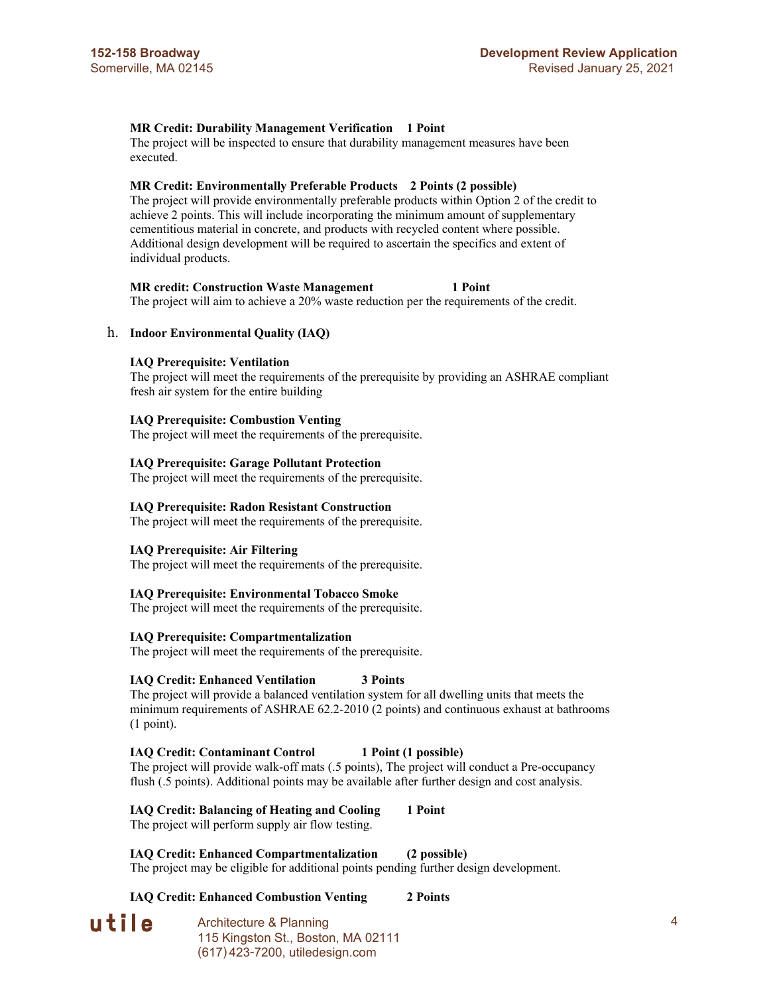#### **MR Credit: Durability Management Verification 1 Point**

The project will be inspected to ensure that durability management measures have been executed.

#### **MR Credit: Environmentally Preferable Products 2 Points (2 possible)**

The project will provide environmentally preferable products within Option 2 of the credit to achieve 2 points. This will include incorporating the minimum amount of supplementary cementitious material in concrete, and products with recycled content where possible. Additional design development will be required to ascertain the specifics and extent of individual products.

#### **MR credit: Construction Waste Management 1 Point**

The project will aim to achieve a 20% waste reduction per the requirements of the credit.

#### h. **Indoor Environmental Quality (IAQ)**

#### **IAQ Prerequisite: Ventilation**

The project will meet the requirements of the prerequisite by providing an ASHRAE compliant fresh air system for the entire building

#### **IAQ Prerequisite: Combustion Venting**

The project will meet the requirements of the prerequisite.

#### **IAQ Prerequisite: Garage Pollutant Protection**

The project will meet the requirements of the prerequisite.

#### **IAQ Prerequisite: Radon Resistant Construction**

The project will meet the requirements of the prerequisite.

#### **IAQ Prerequisite: Air Filtering**

The project will meet the requirements of the prerequisite.

#### **IAQ Prerequisite: Environmental Tobacco Smoke**

The project will meet the requirements of the prerequisite.

#### **IAQ Prerequisite: Compartmentalization**

The project will meet the requirements of the prerequisite.

#### **IAQ Credit: Enhanced Ventilation 3 Points**

The project will provide a balanced ventilation system for all dwelling units that meets the minimum requirements of ASHRAE 62.2-2010 (2 points) and continuous exhaust at bathrooms (1 point).

#### **IAQ Credit: Contaminant Control 1 Point (1 possible)**

The project will provide walk-off mats (.5 points), The project will conduct a Pre-occupancy flush (.5 points). Additional points may be available after further design and cost analysis.

#### **IAQ Credit: Balancing of Heating and Cooling 1 Point** The project will perform supply air flow testing.

**IAQ Credit: Enhanced Compartmentalization (2 possible)** The project may be eligible for additional points pending further design development.

#### **IAQ Credit: Enhanced Combustion Venting 2 Points**

utile

Architecture & Planning 4 and 4 and 4 and 4 and 4 and 4 and 4 and 4 and 4 and 4 and 4 and 4 and 4 and 4 and 4 and 4 and 4 and 4 and 4 and 4 and 4 and 4 and 4 and 4 and 4 and 4 and 4 and 4 and 4 and 4 and 4 and 4 and 4 and 115 Kingston St., Boston, MA 02111 (617) 423-7200, utiledesign.com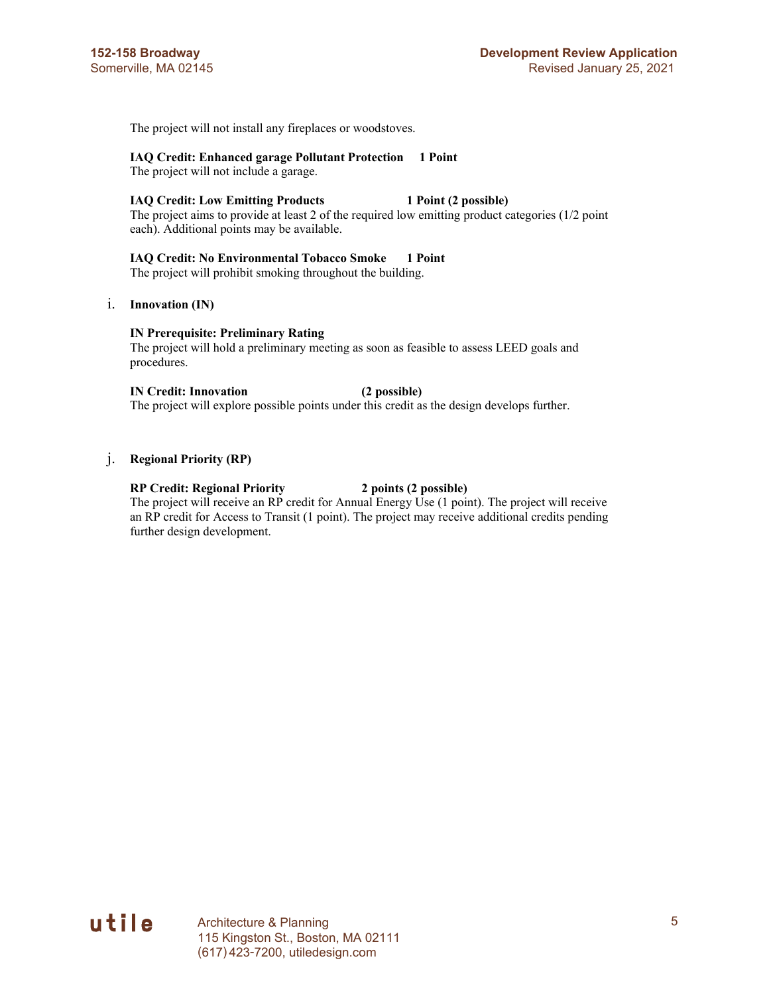The project will not install any fireplaces or woodstoves.

#### **IAQ Credit: Enhanced garage Pollutant Protection 1 Point**

The project will not include a garage.

#### **IAQ Credit: Low Emitting Products 1 Point (2 possible)**

The project aims to provide at least 2 of the required low emitting product categories (1/2 point each). Additional points may be available.

#### **IAQ Credit: No Environmental Tobacco Smoke 1 Point**

The project will prohibit smoking throughout the building.

#### i. **Innovation (IN)**

#### **IN Prerequisite: Preliminary Rating**

The project will hold a preliminary meeting as soon as feasible to assess LEED goals and procedures.

## **IN Credit: Innovation (2 possible)**

The project will explore possible points under this credit as the design develops further.

#### j. **Regional Priority (RP)**

#### **RP Credit: Regional Priority 2 points (2 possible)**

The project will receive an RP credit for Annual Energy Use (1 point). The project will receive an RP credit for Access to Transit (1 point). The project may receive additional credits pending further design development.

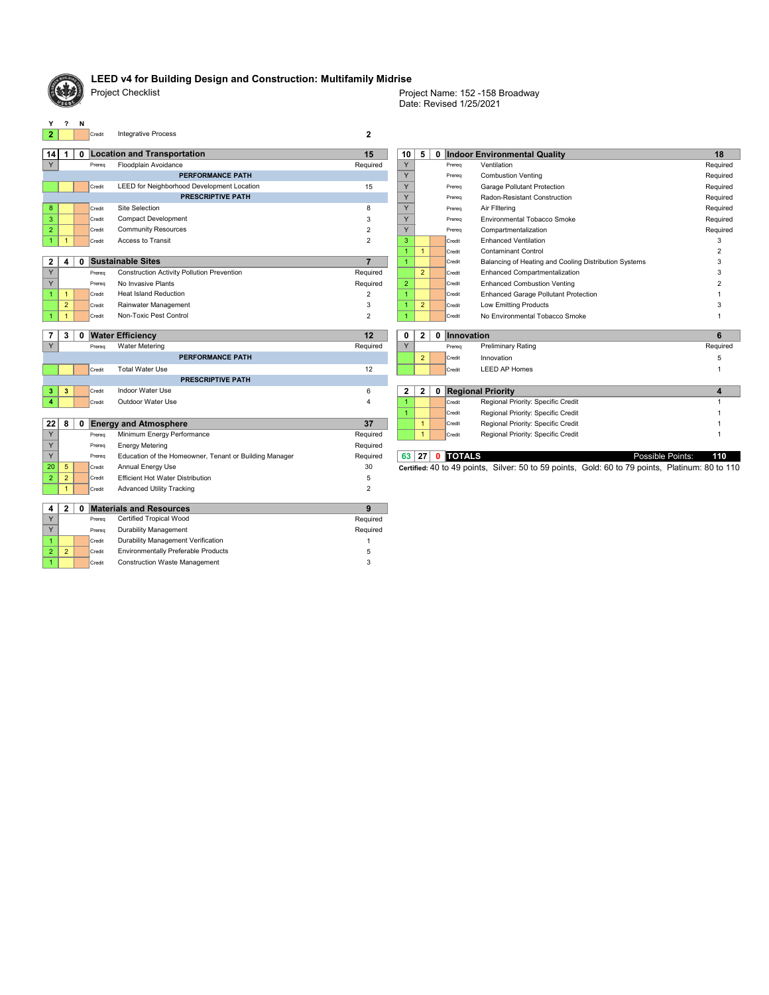

### **LEED v4 for Building Design and Construction: Multifamily Midrise**

Project Checklist

| $\mathbf 0$    | 5              | 0 |        | <b>Indoor Environmental Quality</b>                   | 18       |
|----------------|----------------|---|--------|-------------------------------------------------------|----------|
| Y              |                |   | Prereg | Ventilation                                           | Required |
| Y              |                |   | Prereg | <b>Combustion Venting</b>                             | Required |
| Y              |                |   | Prereg | <b>Garage Pollutant Protection</b>                    | Required |
| Y              |                |   | Prereg | Radon-Resistant Construction                          | Required |
| Y              |                |   | Prereg | Air Filtering                                         | Required |
| Y              |                |   | Prereg | Environmental Tobacco Smoke                           | Required |
| Y              |                |   | Prereg | Compartmentalization                                  | Required |
| 3              |                |   | Credit | <b>Enhanced Ventilation</b>                           | 3        |
| 1              | 1              |   | Credit | <b>Contaminant Control</b>                            | 2        |
| 1              |                |   | Credit | Balancing of Heating and Cooling Distribution Systems | 3        |
|                | 2              |   | Credit | <b>Enhanced Compartmentalization</b>                  | 3        |
| $\overline{2}$ |                |   | Credit | <b>Enhanced Combustion Venting</b>                    | 2        |
| 1              |                |   | Credit | <b>Enhanced Garage Pollutant Protection</b>           |          |
| 1              | $\overline{2}$ |   | Credit | Low Emitting Products                                 | 3        |
| 1              |                |   | Credit | No Environmental Tobacco Smoke                        |          |

Date: Revised 1/25/2021 Project Name: 152 -158 Broadway

**y ? N**<br>**2 D Credit** 

2 2 Credit Environmentally Preferable Products Charles Communist Communist Communist Communist Communist Communist C 1 Credit 3 Construction Waste Management

|                |                  |              | Credit | Integrative Process                               |          |                |                |        |                                                       |          |
|----------------|------------------|--------------|--------|---------------------------------------------------|----------|----------------|----------------|--------|-------------------------------------------------------|----------|
| 14             |                  |              |        | 0 Location and Transportation                     | 15       | 10             | 5              |        | 0 Indoor Environmental Quality                        | 18       |
|                |                  |              | Prereg | Floodplain Avoidance                              | Required |                |                | Prereg | Ventilation                                           | Required |
|                |                  |              |        | <b>PERFORMANCE PATH</b>                           |          |                |                | Prereq | <b>Combustion Venting</b>                             | Required |
|                |                  |              | Credit | LEED for Neighborhood Development Location        | 15       |                |                | Prereq | <b>Garage Pollutant Protection</b>                    | Required |
|                |                  |              |        | <b>PRESCRIPTIVE PATH</b>                          |          |                |                | Prereq | <b>Radon-Resistant Construction</b>                   | Required |
| 8 <sup>°</sup> |                  |              | Credit | Site Selection                                    | 8        |                |                | Prereq | Air Filtering                                         | Required |
| 3              |                  |              | Credit | <b>Compact Development</b>                        |          |                |                | Prereq | <b>Environmental Tobacco Smoke</b>                    | Required |
| $\overline{2}$ |                  |              | Credit | <b>Community Resources</b>                        |          |                |                | Prereq | Compartmentalization                                  | Required |
|                |                  |              | Credit | Access to Transit                                 |          |                |                | Credit | <b>Enhanced Ventilation</b>                           |          |
|                |                  |              |        |                                                   |          |                |                | Credit | <b>Contaminant Control</b>                            |          |
| $\overline{2}$ | $\boldsymbol{4}$ | $\mathbf{0}$ |        | <b>Sustainable Sites</b>                          |          |                |                | Credit | Balancing of Heating and Cooling Distribution Systems |          |
| Y              |                  |              | Prereg | <b>Construction Activity Pollution Prevention</b> | Required |                | 2 <sup>2</sup> | Credit | <b>Enhanced Compartmentalization</b>                  |          |
| Y              |                  |              | Prereg | No Invasive Plants                                | Required | $\overline{2}$ |                | Credit | <b>Enhanced Combustion Venting</b>                    |          |
|                |                  |              | Credit | <b>Heat Island Reduction</b>                      |          |                |                | Credit | <b>Enhanced Garage Pollutant Protection</b>           |          |
|                | $\overline{2}$   |              | Credit | Rainwater Management                              |          |                | $\overline{2}$ | Credit | Low Emitting Products                                 |          |
|                |                  |              | Credit | Non-Toxic Pest Control                            |          |                |                | Credit | No Environmental Tobacco Smoke                        |          |
|                |                  |              |        |                                                   |          |                |                |        |                                                       |          |

|                          | 3          |  |        | <b>Water Efficiency</b>    | 12             | 0            | $\mathbf{2}$   | 0 | Innovation |                                    | 6        |
|--------------------------|------------|--|--------|----------------------------|----------------|--------------|----------------|---|------------|------------------------------------|----------|
| $\vee$                   |            |  | Prereg | Water Metering             | Required       | $\sqrt{}$    |                |   | Prereg     | <b>Preliminary Rating</b>          | Required |
|                          |            |  |        | <b>PERFORMANCE PATH</b>    |                |              | 2              |   | Credit     | Innovation                         |          |
|                          |            |  | Credit | <b>Total Water Use</b>     | 12             |              |                |   | Credit     | <b>LEED AP Homes</b>               |          |
| <b>PRESCRIPTIVE PATH</b> |            |  |        |                            |                |              |                |   |            |                                    |          |
|                          | $3 \mid 3$ |  | Credit | Indoor Water Use           | 6              | $\mathbf{2}$ | $\overline{2}$ | 0 |            | <b>Regional Priority</b>           |          |
|                          |            |  | Credit | Outdoor Water Use          | 4              |              |                |   | Credit     | Regional Priority: Specific Credit |          |
|                          |            |  |        |                            |                |              |                |   | Credit     | Regional Priority: Specific Credit |          |
|                          | 22   8     |  |        | 0 Energy and Atmosphere    | 37             |              |                |   | Credit     | Regional Priority: Specific Credit |          |
| Y                        |            |  | Prereg | Minimum Energy Performance | Required       |              |                |   | Credit     | Regional Priority: Specific Credit |          |
| $\lambda$                |            |  |        |                            | Designation of |              |                |   |            |                                    |          |

|              | 3              | 0             | <b>Water Efficiency</b> |                          | 12       | $\mathbf 0$ | $\mathbf{2}$   | 0 Innovation |                                    |          |
|--------------|----------------|---------------|-------------------------|--------------------------|----------|-------------|----------------|--------------|------------------------------------|----------|
|              |                | Prereg        | Water Metering          |                          | Required | $\vee$      |                | Prereg       | <b>Preliminary Rating</b>          | Required |
|              |                |               |                         | <b>PERFORMANCE PATH</b>  |          |             | $\overline{2}$ | Credit       | Innovation                         |          |
|              |                | Credit        | Total Water Use         |                          | 12       |             |                | Credit       | LEED AP Homes                      |          |
|              |                |               |                         | <b>PRESCRIPTIVE PATH</b> |          |             |                |              |                                    |          |
| $3^{\prime}$ | 3 <sup>7</sup> | <b>Credit</b> | Indoor Water Use        |                          |          |             | $\mathbf{2}$   |              | 0 Regional Priority                |          |
|              |                | Credit        | Outdoor Water Use       |                          |          |             |                | Credit       | Regional Priority: Specific Credit |          |
|              |                |               |                         |                          |          |             |                | $C$ redit    | Regional Priority: Specific Credit |          |

Y Prereq Energy Metering Required Required Required Required

|      |                | Prereg | Education of the Homeowner, Tenant or Building Manager | Reguired | <b>63 27 0 TOTALS</b>                                                                           |  | Possible Points: | 110 |
|------|----------------|--------|--------------------------------------------------------|----------|-------------------------------------------------------------------------------------------------|--|------------------|-----|
| ا 20 | 5 <sub>1</sub> | Credit | Annual Energy Use                                      | 30       | Certified: 40 to 49 points, Silver: 50 to 59 points, Gold: 60 to 79 points, Platinum: 80 to 110 |  |                  |     |
|      | 2              | Credi  | <b>Efficient Hot Water Distribution</b>                | J        |                                                                                                 |  |                  |     |
|      |                | Credit | <b>Advanced Utility Tracking</b>                       |          |                                                                                                 |  |                  |     |
|      |                |        |                                                        |          |                                                                                                 |  |                  |     |
|      |                |        |                                                        |          |                                                                                                 |  |                  |     |
| 4    |                |        | <b>Materials and Resources</b>                         |          |                                                                                                 |  |                  |     |
|      |                | Prereg | <b>Certified Tropical Wood</b>                         | Required |                                                                                                 |  |                  |     |
|      |                | Prereg | Durability Management                                  | Required |                                                                                                 |  |                  |     |

|  | $ 63 27 $ 0 TOTALS |                                                                     | Po |
|--|--------------------|---------------------------------------------------------------------|----|
|  |                    | Certified: 40 to 49 points Silver: 50 to 59 points Gold: 60 to 79 p |    |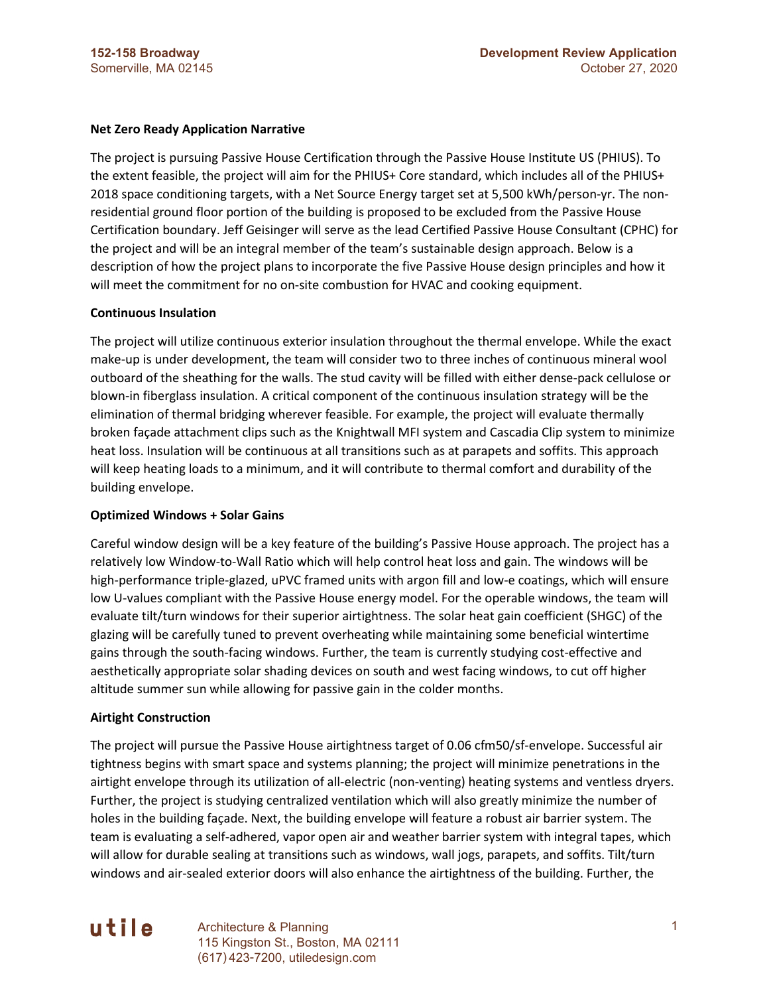### **Net Zero Ready Application Narrative**

The project is pursuing Passive House Certification through the Passive House Institute US (PHIUS). To the extent feasible, the project will aim for the PHIUS+ Core standard, which includes all of the PHIUS+ 2018 space conditioning targets, with a Net Source Energy target set at 5,500 kWh/person-yr. The nonresidential ground floor portion of the building is proposed to be excluded from the Passive House Certification boundary. Jeff Geisinger will serve as the lead Certified Passive House Consultant (CPHC) for the project and will be an integral member of the team's sustainable design approach. Below is a description of how the project plans to incorporate the five Passive House design principles and how it will meet the commitment for no on-site combustion for HVAC and cooking equipment.

#### **Continuous Insulation**

The project will utilize continuous exterior insulation throughout the thermal envelope. While the exact make-up is under development, the team will consider two to three inches of continuous mineral wool outboard of the sheathing for the walls. The stud cavity will be filled with either dense-pack cellulose or blown-in fiberglass insulation. A critical component of the continuous insulation strategy will be the elimination of thermal bridging wherever feasible. For example, the project will evaluate thermally broken façade attachment clips such as the Knightwall MFI system and Cascadia Clip system to minimize heat loss. Insulation will be continuous at all transitions such as at parapets and soffits. This approach will keep heating loads to a minimum, and it will contribute to thermal comfort and durability of the building envelope.

#### **Optimized Windows + Solar Gains**

Careful window design will be a key feature of the building's Passive House approach. The project has a relatively low Window-to-Wall Ratio which will help control heat loss and gain. The windows will be high-performance triple-glazed, uPVC framed units with argon fill and low-e coatings, which will ensure low U-values compliant with the Passive House energy model. For the operable windows, the team will evaluate tilt/turn windows for their superior airtightness. The solar heat gain coefficient (SHGC) of the glazing will be carefully tuned to prevent overheating while maintaining some beneficial wintertime gains through the south-facing windows. Further, the team is currently studying cost-effective and aesthetically appropriate solar shading devices on south and west facing windows, to cut off higher altitude summer sun while allowing for passive gain in the colder months.

#### **Airtight Construction**

The project will pursue the Passive House airtightness target of 0.06 cfm50/sf-envelope. Successful air tightness begins with smart space and systems planning; the project will minimize penetrations in the airtight envelope through its utilization of all-electric (non-venting) heating systems and ventless dryers. Further, the project is studying centralized ventilation which will also greatly minimize the number of holes in the building façade. Next, the building envelope will feature a robust air barrier system. The team is evaluating a self-adhered, vapor open air and weather barrier system with integral tapes, which will allow for durable sealing at transitions such as windows, wall jogs, parapets, and soffits. Tilt/turn windows and air-sealed exterior doors will also enhance the airtightness of the building. Further, the

# utile

Architecture & Planning 1 115 Kingston St., Boston, MA 02111 (617) 423-7200, utiledesign.com